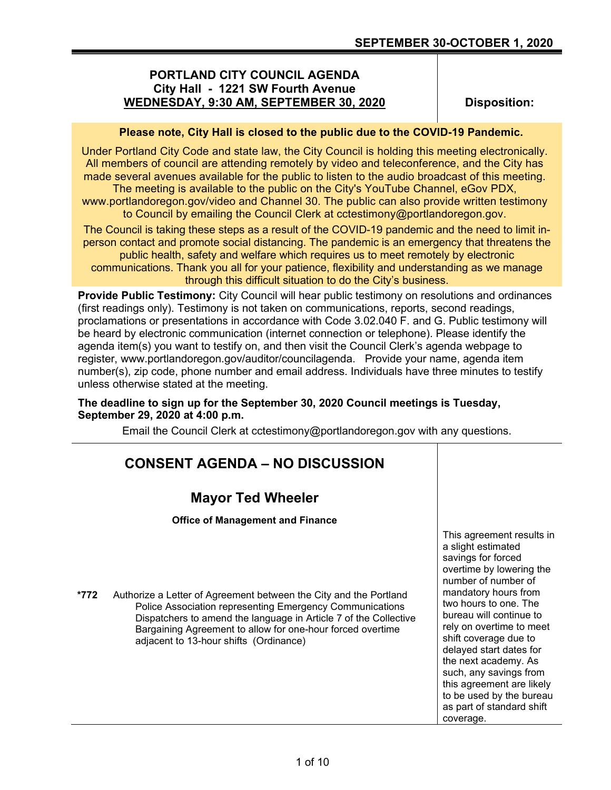#### **PORTLAND CITY COUNCIL AGENDA City Hall - 1221 SW Fourth Avenue WEDNESDAY, 9:30 AM, SEPTEMBER 30, 2020**

**Disposition:**

#### **Please note, City Hall is closed to the public due to the COVID-19 Pandemic.**

Under Portland City Code and state law, the City Council is holding this meeting electronically. All members of council are attending remotely by video and teleconference, and the City has made several avenues available for the public to listen to the audio broadcast of this meeting.

The meeting is available to the public on the City's YouTube Channel, eGov PDX, www.portlandoregon.gov/video and Channel 30. The public can also provide written testimony to Council by emailing the Council Clerk at cctestimony@portlandoregon.gov.

The Council is taking these steps as a result of the COVID-19 pandemic and the need to limit inperson contact and promote social distancing. The pandemic is an emergency that threatens the

public health, safety and welfare which requires us to meet remotely by electronic communications. Thank you all for your patience, flexibility and understanding as we manage through this difficult situation to do the City's business.

**Provide Public Testimony:** City Council will hear public testimony on resolutions and ordinances (first readings only). Testimony is not taken on communications, reports, second readings, proclamations or presentations in accordance with Code 3.02.040 F. and G. Public testimony will be heard by electronic communication (internet connection or telephone). Please identify the agenda item(s) you want to testify on, and then visit the Council Clerk's agenda webpage to register, www.portlandoregon.gov/auditor/councilagenda. Provide your name, agenda item number(s), zip code, phone number and email address. Individuals have three minutes to testify unless otherwise stated at the meeting.

#### **The deadline to sign up for the September 30, 2020 Council meetings is Tuesday, September 29, 2020 at 4:00 p.m.**

Email the Council Clerk at cctestimony@portlandoregon.gov with any questions.

|      | <b>CONSENT AGENDA – NO DISCUSSION</b>                                                                                                                                                                                                                                                                     |                                                                                                                                                                                                                                                                                                                                                                                                                                           |
|------|-----------------------------------------------------------------------------------------------------------------------------------------------------------------------------------------------------------------------------------------------------------------------------------------------------------|-------------------------------------------------------------------------------------------------------------------------------------------------------------------------------------------------------------------------------------------------------------------------------------------------------------------------------------------------------------------------------------------------------------------------------------------|
|      | <b>Mayor Ted Wheeler</b>                                                                                                                                                                                                                                                                                  |                                                                                                                                                                                                                                                                                                                                                                                                                                           |
|      | <b>Office of Management and Finance</b>                                                                                                                                                                                                                                                                   |                                                                                                                                                                                                                                                                                                                                                                                                                                           |
| *772 | Authorize a Letter of Agreement between the City and the Portland<br>Police Association representing Emergency Communications<br>Dispatchers to amend the language in Article 7 of the Collective<br>Bargaining Agreement to allow for one-hour forced overtime<br>adjacent to 13-hour shifts (Ordinance) | This agreement results in<br>a slight estimated<br>savings for forced<br>overtime by lowering the<br>number of number of<br>mandatory hours from<br>two hours to one. The<br>bureau will continue to<br>rely on overtime to meet<br>shift coverage due to<br>delayed start dates for<br>the next academy. As<br>such, any savings from<br>this agreement are likely<br>to be used by the bureau<br>as part of standard shift<br>coverage. |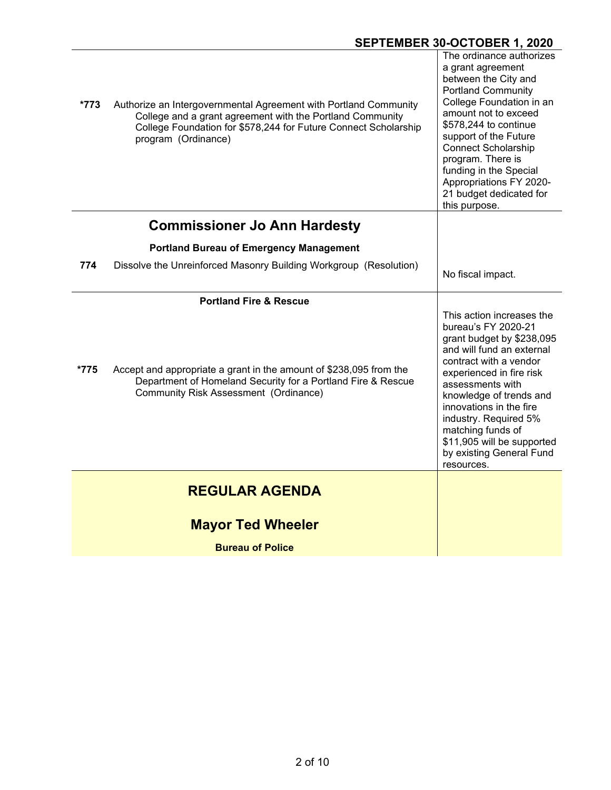| *773 | Authorize an Intergovernmental Agreement with Portland Community<br>College and a grant agreement with the Portland Community<br>College Foundation for \$578,244 for Future Connect Scholarship<br>program (Ordinance) | The ordinance authorizes<br>a grant agreement<br>between the City and<br><b>Portland Community</b><br>College Foundation in an<br>amount not to exceed<br>\$578,244 to continue<br>support of the Future<br><b>Connect Scholarship</b><br>program. There is<br>funding in the Special<br>Appropriations FY 2020-<br>21 budget dedicated for<br>this purpose.     |
|------|-------------------------------------------------------------------------------------------------------------------------------------------------------------------------------------------------------------------------|------------------------------------------------------------------------------------------------------------------------------------------------------------------------------------------------------------------------------------------------------------------------------------------------------------------------------------------------------------------|
|      | <b>Commissioner Jo Ann Hardesty</b>                                                                                                                                                                                     |                                                                                                                                                                                                                                                                                                                                                                  |
|      | <b>Portland Bureau of Emergency Management</b>                                                                                                                                                                          |                                                                                                                                                                                                                                                                                                                                                                  |
| 774  | Dissolve the Unreinforced Masonry Building Workgroup (Resolution)                                                                                                                                                       | No fiscal impact.                                                                                                                                                                                                                                                                                                                                                |
|      | <b>Portland Fire &amp; Rescue</b>                                                                                                                                                                                       |                                                                                                                                                                                                                                                                                                                                                                  |
| *775 | Accept and appropriate a grant in the amount of \$238,095 from the<br>Department of Homeland Security for a Portland Fire & Rescue<br><b>Community Risk Assessment (Ordinance)</b>                                      | This action increases the<br>bureau's FY 2020-21<br>grant budget by \$238,095<br>and will fund an external<br>contract with a vendor<br>experienced in fire risk<br>assessments with<br>knowledge of trends and<br>innovations in the fire<br>industry. Required 5%<br>matching funds of<br>\$11,905 will be supported<br>by existing General Fund<br>resources. |
|      | <b>REGULAR AGENDA</b>                                                                                                                                                                                                   |                                                                                                                                                                                                                                                                                                                                                                  |
|      | <b>Mayor Ted Wheeler</b>                                                                                                                                                                                                |                                                                                                                                                                                                                                                                                                                                                                  |
|      | <b>Bureau of Police</b>                                                                                                                                                                                                 |                                                                                                                                                                                                                                                                                                                                                                  |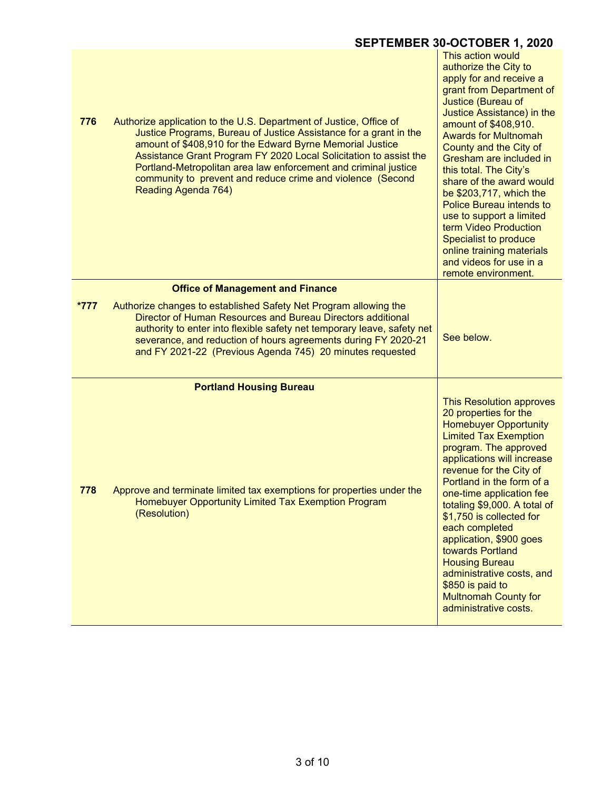| 776    | Authorize application to the U.S. Department of Justice, Office of<br>Justice Programs, Bureau of Justice Assistance for a grant in the<br>amount of \$408,910 for the Edward Byrne Memorial Justice<br>Assistance Grant Program FY 2020 Local Solicitation to assist the<br>Portland-Metropolitan area law enforcement and criminal justice<br>community to prevent and reduce crime and violence (Second<br>Reading Agenda 764) | This action would<br>authorize the City to<br>apply for and receive a<br>grant from Department of<br>Justice (Bureau of<br>Justice Assistance) in the<br>amount of \$408,910.<br><b>Awards for Multnomah</b><br>County and the City of<br>Gresham are included in<br>this total. The City's<br>share of the award would<br>be \$203,717, which the<br><b>Police Bureau intends to</b><br>use to support a limited<br>term Video Production<br>Specialist to produce<br>online training materials<br>and videos for use in a<br>remote environment. |
|--------|-----------------------------------------------------------------------------------------------------------------------------------------------------------------------------------------------------------------------------------------------------------------------------------------------------------------------------------------------------------------------------------------------------------------------------------|----------------------------------------------------------------------------------------------------------------------------------------------------------------------------------------------------------------------------------------------------------------------------------------------------------------------------------------------------------------------------------------------------------------------------------------------------------------------------------------------------------------------------------------------------|
|        | <b>Office of Management and Finance</b>                                                                                                                                                                                                                                                                                                                                                                                           |                                                                                                                                                                                                                                                                                                                                                                                                                                                                                                                                                    |
| $*777$ | Authorize changes to established Safety Net Program allowing the<br>Director of Human Resources and Bureau Directors additional<br>authority to enter into flexible safety net temporary leave, safety net<br>severance, and reduction of hours agreements during FY 2020-21<br>and FY 2021-22 (Previous Agenda 745) 20 minutes requested                                                                                         | See below.                                                                                                                                                                                                                                                                                                                                                                                                                                                                                                                                         |
|        | <b>Portland Housing Bureau</b>                                                                                                                                                                                                                                                                                                                                                                                                    |                                                                                                                                                                                                                                                                                                                                                                                                                                                                                                                                                    |
| 778    | Approve and terminate limited tax exemptions for properties under the<br>Homebuyer Opportunity Limited Tax Exemption Program<br>(Resolution)                                                                                                                                                                                                                                                                                      | This Resolution approves<br>20 properties for the<br><b>Homebuyer Opportunity</b><br><b>Limited Tax Exemption</b><br>program. The approved<br>applications will increase<br>revenue for the City of<br>Portland in the form of a<br>one-time application fee<br>totaling \$9,000. A total of<br>\$1,750 is collected for<br>each completed<br>application, \$900 goes<br>towards Portland<br><b>Housing Bureau</b><br>administrative costs, and<br>\$850 is paid to<br><b>Multnomah County for</b><br>administrative costs.                        |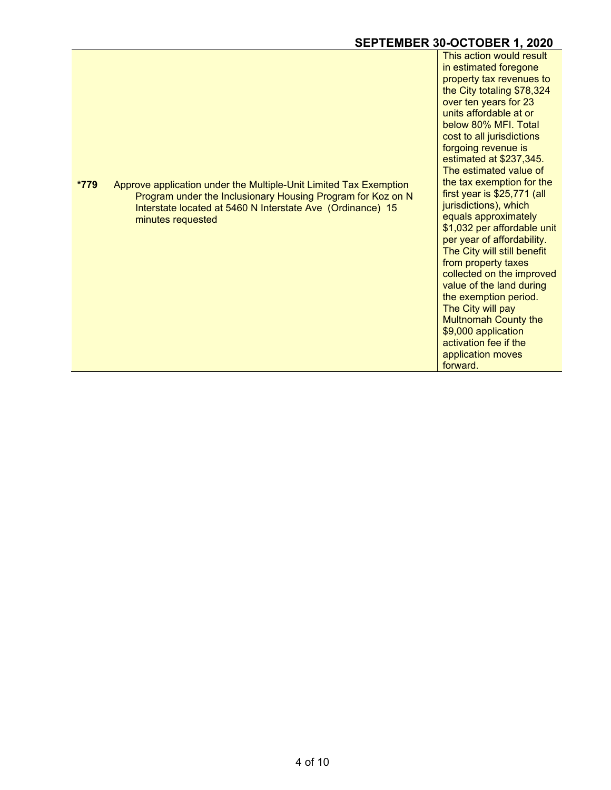| *779 | Approve application under the Multiple-Unit Limited Tax Exemption |  |
|------|-------------------------------------------------------------------|--|
|      | Program under the Inclusionary Housing Program for Koz on N       |  |
|      | Interstate located at 5460 N Interstate Ave (Ordinance) 15        |  |
|      | minutes requested                                                 |  |

This action would result in estimated foregone property tax revenues to the City totaling \$78,324 over ten years for 23 units affordable at or below 80% MFI. Total cost to all jurisdictions forgoing revenue is estimated at \$237,345. The estimated value of the tax exemption for the first year is \$25,771 (all jurisdictions), which equals approximately \$1,032 per affordable unit per year of affordability. The City will still benefit from property taxes collected on the improved value of the land during the exemption period. The City will pay Multnomah County the \$9,000 application activation fee if the application moves forward.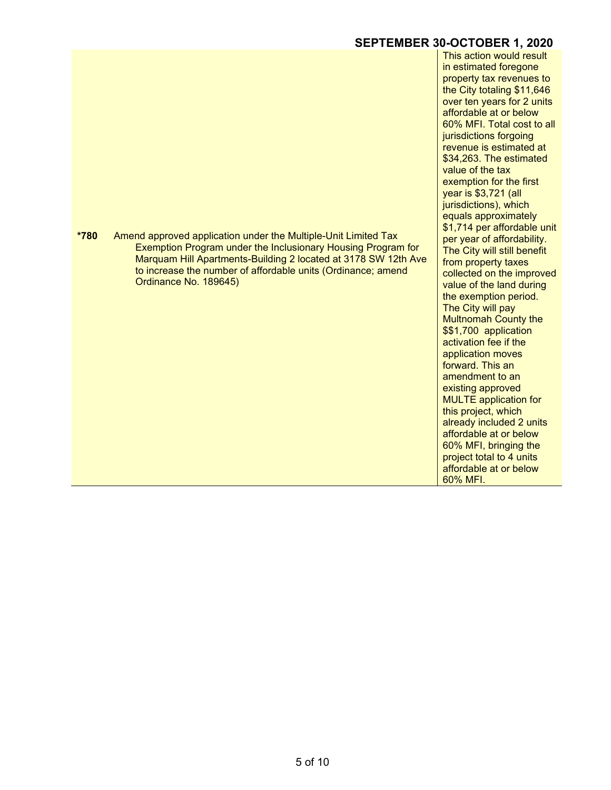**\*780** Amend approved application under the Multiple-Unit Limited Tax Exemption Program under the Inclusionary Housing Program for Marquam Hill Apartments-Building 2 located at 3178 SW 12th Ave to increase the number of affordable units (Ordinance; amend Ordinance No. 189645)

This action would result in estimated foregone property tax revenues to the City totaling \$11,646 over ten years for 2 units affordable at or below 60% MFI. Total cost to all jurisdictions forgoing revenue is estimated at \$34,263. The estimated value of the tax exemption for the first year is \$3,721 (all jurisdictions), which equals approximately \$1,714 per affordable unit per year of affordability. The City will still benefit from property taxes collected on the improved value of the land during the exemption period. The City will pay Multnomah County the \$\$1,700 application activation fee if the application moves forward. This an amendment to an existing approved MULTE application for this project, which already included 2 units affordable at or below 60% MFI, bringing the project total to 4 units affordable at or below 60% MFI.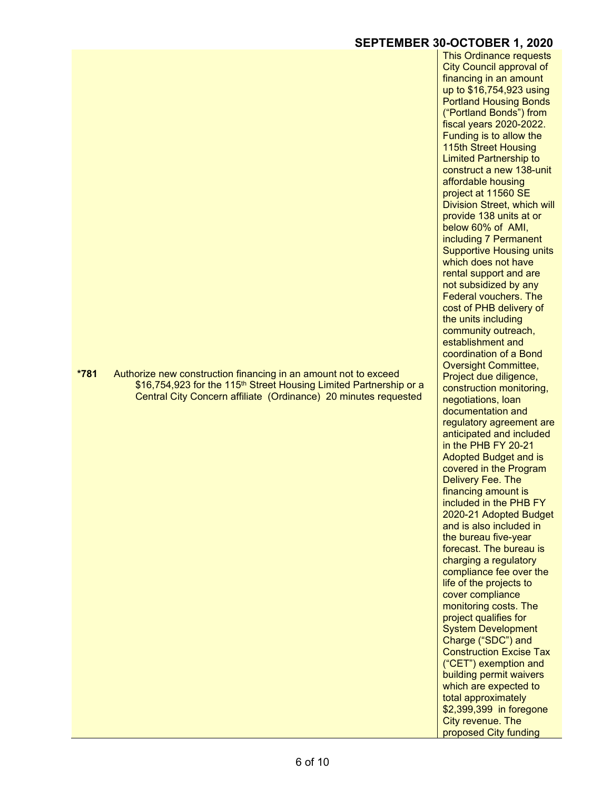**\*781** Authorize new construction financing in an amount not to exceed \$16,754,923 for the 115<sup>th</sup> Street Housing Limited Partnership or a Central City Concern affiliate (Ordinance) 20 minutes requested

This Ordinance requests City Council approval of financing in an amount up to \$16,754,923 using Portland Housing Bonds ("Portland Bonds") from fiscal years 2020-2022. Funding is to allow the 115th Street Housing Limited Partnership to construct a new 138-unit affordable housing project at 11560 SE Division Street, which will provide 138 units at or below 60% of AMI, including 7 Permanent Supportive Housing units which does not have rental support and are not subsidized by any Federal vouchers. The cost of PHB delivery of the units including community outreach, establishment and coordination of a Bond Oversight Committee, Project due diligence, construction monitoring, negotiations, loan documentation and regulatory agreement are anticipated and included in the PHB FY 20-21 Adopted Budget and is covered in the Program Delivery Fee. The financing amount is included in the PHB FY 2020-21 Adopted Budget and is also included in the bureau five-year forecast. The bureau is charging a regulatory compliance fee over the life of the projects to cover compliance monitoring costs. The project qualifies for System Development Charge ("SDC") and Construction Excise Tax ("CET") exemption and building permit waivers which are expected to total approximately \$2,399,399 in foregone City revenue. The

proposed City funding

6 of 10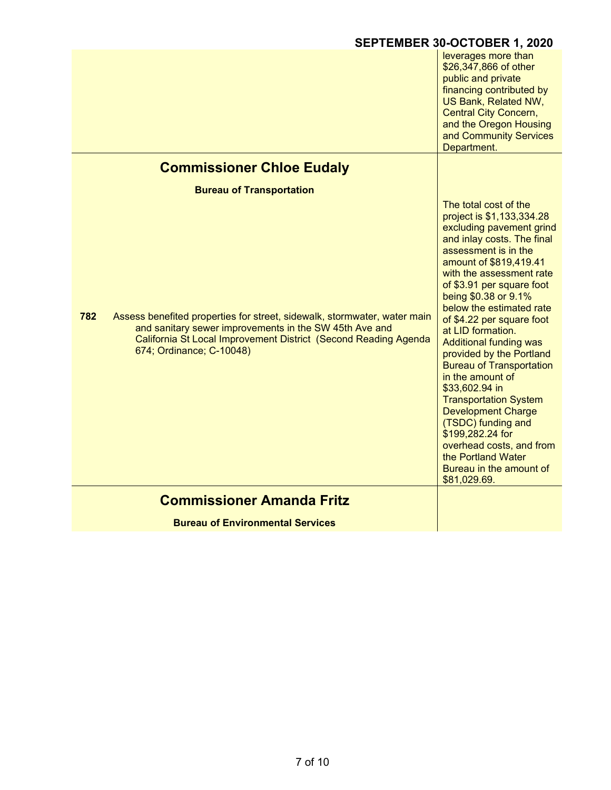|                                                                                                                                                                                                                                          | SEPTEMBER 30-OCTOBER 1, 2020                                                                                                                                                                                                                                                                                                                                                                                                                                                                                                                                                                                                                                            |
|------------------------------------------------------------------------------------------------------------------------------------------------------------------------------------------------------------------------------------------|-------------------------------------------------------------------------------------------------------------------------------------------------------------------------------------------------------------------------------------------------------------------------------------------------------------------------------------------------------------------------------------------------------------------------------------------------------------------------------------------------------------------------------------------------------------------------------------------------------------------------------------------------------------------------|
|                                                                                                                                                                                                                                          | leverages more than<br>\$26,347,866 of other<br>public and private<br>financing contributed by<br>US Bank, Related NW,<br><b>Central City Concern,</b><br>and the Oregon Housing<br>and Community Services<br>Department.                                                                                                                                                                                                                                                                                                                                                                                                                                               |
| <b>Commissioner Chloe Eudaly</b>                                                                                                                                                                                                         |                                                                                                                                                                                                                                                                                                                                                                                                                                                                                                                                                                                                                                                                         |
| <b>Bureau of Transportation</b>                                                                                                                                                                                                          |                                                                                                                                                                                                                                                                                                                                                                                                                                                                                                                                                                                                                                                                         |
| 782<br>Assess benefited properties for street, sidewalk, stormwater, water main<br>and sanitary sewer improvements in the SW 45th Ave and<br>California St Local Improvement District (Second Reading Agenda<br>674; Ordinance; C-10048) | The total cost of the<br>project is \$1,133,334.28<br>excluding pavement grind<br>and inlay costs. The final<br>assessment is in the<br>amount of \$819,419.41<br>with the assessment rate<br>of \$3.91 per square foot<br>being \$0.38 or 9.1%<br>below the estimated rate<br>of \$4.22 per square foot<br>at LID formation.<br><b>Additional funding was</b><br>provided by the Portland<br><b>Bureau of Transportation</b><br>in the amount of<br>\$33,602.94 in<br><b>Transportation System</b><br><b>Development Charge</b><br>(TSDC) funding and<br>\$199,282.24 for<br>overhead costs, and from<br>the Portland Water<br>Bureau in the amount of<br>\$81,029.69. |
| <b>Commissioner Amanda Fritz</b>                                                                                                                                                                                                         |                                                                                                                                                                                                                                                                                                                                                                                                                                                                                                                                                                                                                                                                         |
| <b>Bureau of Environmental Services</b>                                                                                                                                                                                                  |                                                                                                                                                                                                                                                                                                                                                                                                                                                                                                                                                                                                                                                                         |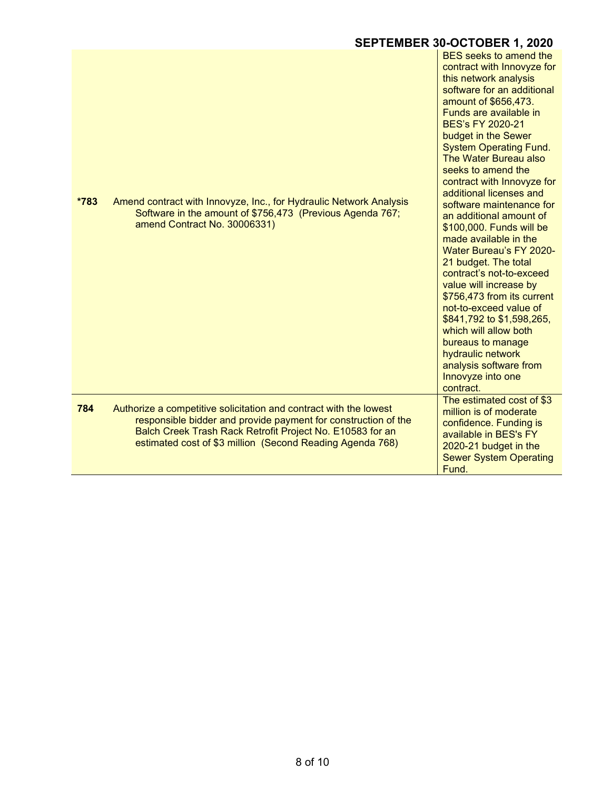| *783 | Amend contract with Innovyze, Inc., for Hydraulic Network Analysis<br>Software in the amount of \$756,473 (Previous Agenda 767;<br>amend Contract No. 30006331)                                                                                               | <b>BES</b> seeks to amend the<br>contract with Innovyze for<br>this network analysis<br>software for an additional<br>amount of \$656,473.<br>Funds are available in<br>BES's FY 2020-21<br>budget in the Sewer<br><b>System Operating Fund.</b><br>The Water Bureau also<br>seeks to amend the<br>contract with Innovyze for<br>additional licenses and<br>software maintenance for<br>an additional amount of<br>\$100,000. Funds will be<br>made available in the<br><b>Water Bureau's FY 2020-</b><br>21 budget. The total<br>contract's not-to-exceed<br>value will increase by<br>\$756,473 from its current<br>not-to-exceed value of<br>\$841,792 to \$1,598,265,<br>which will allow both<br>bureaus to manage<br>hydraulic network<br>analysis software from<br>Innovyze into one<br>contract. |
|------|---------------------------------------------------------------------------------------------------------------------------------------------------------------------------------------------------------------------------------------------------------------|----------------------------------------------------------------------------------------------------------------------------------------------------------------------------------------------------------------------------------------------------------------------------------------------------------------------------------------------------------------------------------------------------------------------------------------------------------------------------------------------------------------------------------------------------------------------------------------------------------------------------------------------------------------------------------------------------------------------------------------------------------------------------------------------------------|
| 784  | Authorize a competitive solicitation and contract with the lowest<br>responsible bidder and provide payment for construction of the<br>Balch Creek Trash Rack Retrofit Project No. E10583 for an<br>estimated cost of \$3 million (Second Reading Agenda 768) | The estimated cost of \$3<br>million is of moderate<br>confidence. Funding is<br>available in BES's FY<br>2020-21 budget in the<br><b>Sewer System Operating</b><br>Fund.                                                                                                                                                                                                                                                                                                                                                                                                                                                                                                                                                                                                                                |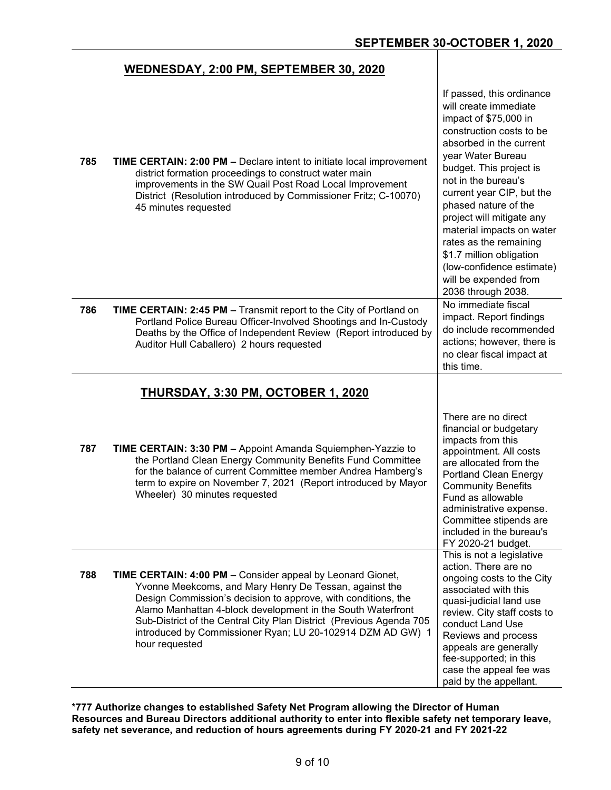#### **WEDNESDAY, 2:00 PM, SEPTEMBER 30, 2020**

| 785 | TIME CERTAIN: 2:00 PM - Declare intent to initiate local improvement<br>district formation proceedings to construct water main<br>improvements in the SW Quail Post Road Local Improvement<br>District (Resolution introduced by Commissioner Fritz; C-10070)<br>45 minutes requested                                                                                                                              | If passed, this ordinance<br>will create immediate<br>impact of \$75,000 in<br>construction costs to be<br>absorbed in the current<br>year Water Bureau<br>budget. This project is<br>not in the bureau's<br>current year CIP, but the<br>phased nature of the<br>project will mitigate any<br>material impacts on water<br>rates as the remaining<br>\$1.7 million obligation<br>(low-confidence estimate)<br>will be expended from<br>2036 through 2038. |
|-----|--------------------------------------------------------------------------------------------------------------------------------------------------------------------------------------------------------------------------------------------------------------------------------------------------------------------------------------------------------------------------------------------------------------------|------------------------------------------------------------------------------------------------------------------------------------------------------------------------------------------------------------------------------------------------------------------------------------------------------------------------------------------------------------------------------------------------------------------------------------------------------------|
| 786 | TIME CERTAIN: 2:45 PM - Transmit report to the City of Portland on<br>Portland Police Bureau Officer-Involved Shootings and In-Custody<br>Deaths by the Office of Independent Review (Report introduced by<br>Auditor Hull Caballero) 2 hours requested                                                                                                                                                            | No immediate fiscal<br>impact. Report findings<br>do include recommended<br>actions; however, there is<br>no clear fiscal impact at<br>this time.                                                                                                                                                                                                                                                                                                          |
|     | <b>THURSDAY, 3:30 PM, OCTOBER 1, 2020</b>                                                                                                                                                                                                                                                                                                                                                                          |                                                                                                                                                                                                                                                                                                                                                                                                                                                            |
| 787 | TIME CERTAIN: 3:30 PM - Appoint Amanda Squiemphen-Yazzie to<br>the Portland Clean Energy Community Benefits Fund Committee<br>for the balance of current Committee member Andrea Hamberg's<br>term to expire on November 7, 2021 (Report introduced by Mayor<br>Wheeler) 30 minutes requested                                                                                                                      | There are no direct<br>financial or budgetary<br>impacts from this<br>appointment. All costs<br>are allocated from the<br><b>Portland Clean Energy</b><br><b>Community Benefits</b><br>Fund as allowable<br>administrative expense.<br>Committee stipends are<br>included in the bureau's<br>FY 2020-21 budget.                                                                                                                                            |
| 788 | <b>TIME CERTAIN: 4:00 PM - Consider appeal by Leonard Gionet,</b><br>Yvonne Meekcoms, and Mary Henry De Tessan, against the<br>Design Commission's decision to approve, with conditions, the<br>Alamo Manhattan 4-block development in the South Waterfront<br>Sub-District of the Central City Plan District (Previous Agenda 705<br>introduced by Commissioner Ryan; LU 20-102914 DZM AD GW) 1<br>hour requested | This is not a legislative<br>action. There are no<br>ongoing costs to the City<br>associated with this<br>quasi-judicial land use<br>review. City staff costs to<br>conduct Land Use<br>Reviews and process<br>appeals are generally<br>fee-supported; in this<br>case the appeal fee was<br>paid by the appellant.                                                                                                                                        |

**\*777 Authorize changes to established Safety Net Program allowing the Director of Human Resources and Bureau Directors additional authority to enter into flexible safety net temporary leave, safety net severance, and reduction of hours agreements during FY 2020-21 and FY 2021-22**